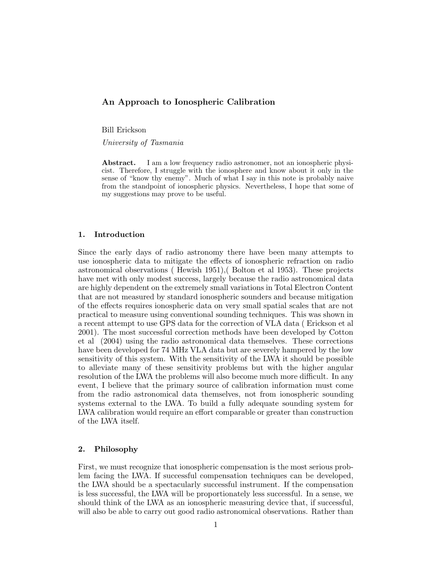# **An Approach to Ionospheric Calibration**

Bill Erickson

*University of Tasmania*

**Abstract.** I am a low frequency radio astronomer, not an ionospheric physicist. Therefore, I struggle with the ionosphere and know about it only in the sense of "know thy enemy". Much of what I say in this note is probably naive from the standpoint of ionospheric physics. Nevertheless, I hope that some of my suggestions may prove to be useful.

## **1. Introduction**

Since the early days of radio astronomy there have been many attempts to use ionospheric data to mitigate the effects of ionospheric refraction on radio astronomical observations ( Hewish 1951),( Bolton et al 1953). These projects have met with only modest success, largely because the radio astronomical data are highly dependent on the extremely small variations in Total Electron Content that are not measured by standard ionospheric sounders and because mitigation of the effects requires ionospheric data on very small spatial scales that are not practical to measure using conventional sounding techniques. This was shown in a recent attempt to use GPS data for the correction of VLA data ( Erickson et al 2001). The most successful correction methods have been developed by Cotton et al (2004) using the radio astronomical data themselves. These corrections have been developed for 74 MHz VLA data but are severely hampered by the low sensitivity of this system. With the sensitivity of the LWA it should be possible to alleviate many of these sensitivity problems but with the higher angular resolution of the LWA the problems will also become much more difficult. In any event, I believe that the primary source of calibration information must come from the radio astronomical data themselves, not from ionospheric sounding systems external to the LWA. To build a fully adequate sounding system for LWA calibration would require an effort comparable or greater than construction of the LWA itself.

### **2. Philosophy**

First, we must recognize that ionospheric compensation is the most serious problem facing the LWA. If successful compensation techniques can be developed, the LWA should be a spectacularly successful instrument. If the compensation is less successful, the LWA will be proportionately less successful. In a sense, we should think of the LWA as an ionospheric measuring device that, if successful, will also be able to carry out good radio astronomical observations. Rather than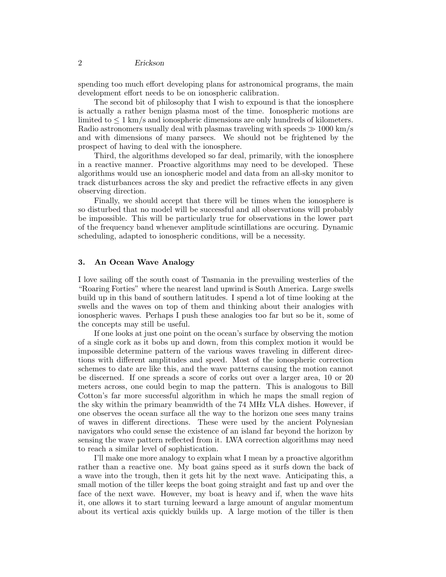spending too much effort developing plans for astronomical programs, the main development effort needs to be on ionospheric calibration.

The second bit of philosophy that I wish to expound is that the ionosphere is actually a rather benign plasma most of the time. Ionospheric motions are limited to  $\leq 1$  km/s and ionospheric dimensions are only hundreds of kilometers. Radio astronomers usually deal with plasmas traveling with speeds  $\gg 1000 \text{ km/s}$ and with dimensions of many parsecs. We should not be frightened by the prospect of having to deal with the ionosphere.

Third, the algorithms developed so far deal, primarily, with the ionosphere in a reactive manner. Proactive algorithms may need to be developed. These algorithms would use an ionospheric model and data from an all-sky monitor to track disturbances across the sky and predict the refractive effects in any given observing direction.

Finally, we should accept that there will be times when the ionosphere is so disturbed that no model will be successful and all observations will probably be impossible. This will be particularly true for observations in the lower part of the frequency band whenever amplitude scintillations are occuring. Dynamic scheduling, adapted to ionospheric conditions, will be a necessity.

## **3. An Ocean Wave Analogy**

I love sailing off the south coast of Tasmania in the prevailing westerlies of the "Roaring Forties" where the nearest land upwind is South America. Large swells build up in this band of southern latitudes. I spend a lot of time looking at the swells and the waves on top of them and thinking about their analogies with ionospheric waves. Perhaps I push these analogies too far but so be it, some of the concepts may still be useful.

If one looks at just one point on the ocean's surface by observing the motion of a single cork as it bobs up and down, from this complex motion it would be impossible determine pattern of the various waves traveling in different directions with different amplitudes and speed. Most of the ionospheric correction schemes to date are like this, and the wave patterns causing the motion cannot be discerned. If one spreads a score of corks out over a larger area, 10 or 20 meters across, one could begin to map the pattern. This is analogous to Bill Cotton's far more successful algorithm in which he maps the small region of the sky within the primary beamwidth of the 74 MHz VLA dishes. However, if one observes the ocean surface all the way to the horizon one sees many trains of waves in different directions. These were used by the ancient Polynesian navigators who could sense the existence of an island far beyond the horizon by sensing the wave pattern reflected from it. LWA correction algorithms may need to reach a similar level of sophistication.

I'll make one more analogy to explain what I mean by a proactive algorithm rather than a reactive one. My boat gains speed as it surfs down the back of a wave into the trough, then it gets hit by the next wave. Anticipating this, a small motion of the tiller keeps the boat going straight and fast up and over the face of the next wave. However, my boat is heavy and if, when the wave hits it, one allows it to start turning leeward a large amount of angular momentum about its vertical axis quickly builds up. A large motion of the tiller is then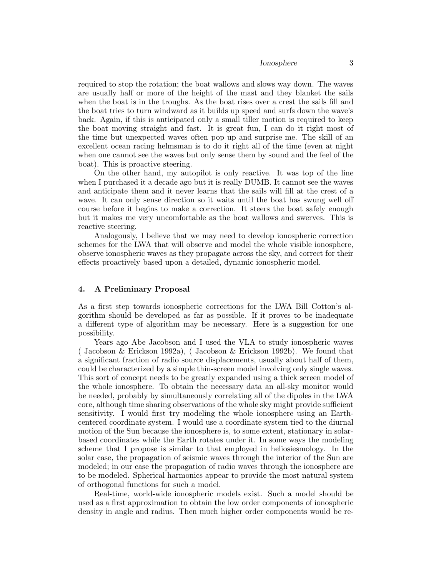*Ionosphere* 3

required to stop the rotation; the boat wallows and slows way down. The waves are usually half or more of the height of the mast and they blanket the sails when the boat is in the troughs. As the boat rises over a crest the sails fill and the boat tries to turn windward as it builds up speed and surfs down the wave's back. Again, if this is anticipated only a small tiller motion is required to keep the boat moving straight and fast. It is great fun, I can do it right most of the time but unexpected waves often pop up and surprise me. The skill of an excellent ocean racing helmsman is to do it right all of the time (even at night when one cannot see the waves but only sense them by sound and the feel of the boat). This is proactive steering.

On the other hand, my autopilot is only reactive. It was top of the line when I purchased it a decade ago but it is really DUMB. It cannot see the waves and anticipate them and it never learns that the sails will fill at the crest of a wave. It can only sense direction so it waits until the boat has swung well off course before it begins to make a correction. It steers the boat safely enough but it makes me very uncomfortable as the boat wallows and swerves. This is reactive steering.

Analogously, I believe that we may need to develop ionospheric correction schemes for the LWA that will observe and model the whole visible ionosphere, observe ionospheric waves as they propagate across the sky, and correct for their effects proactively based upon a detailed, dynamic ionospheric model.

# **4. A Preliminary Proposal**

As a first step towards ionospheric corrections for the LWA Bill Cotton's algorithm should be developed as far as possible. If it proves to be inadequate a different type of algorithm may be necessary. Here is a suggestion for one possibility.

Years ago Abe Jacobson and I used the VLA to study ionospheric waves ( Jacobson & Erickson 1992a), ( Jacobson & Erickson 1992b). We found that a significant fraction of radio source displacements, usually about half of them, could be characterized by a simple thin-screen model involving only single waves. This sort of concept needs to be greatly expanded using a thick screen model of the whole ionosphere. To obtain the necessary data an all-sky monitor would be needed, probably by simultaneously correlating all of the dipoles in the LWA core, although time sharing observations of the whole sky might provide sufficient sensitivity. I would first try modeling the whole ionosphere using an Earthcentered coordinate system. I would use a coordinate system tied to the diurnal motion of the Sun because the ionosphere is, to some extent, stationary in solarbased coordinates while the Earth rotates under it. In some ways the modeling scheme that I propose is similar to that employed in heliosiesmology. In the solar case, the propagation of seismic waves through the interior of the Sun are modeled; in our case the propagation of radio waves through the ionosphere are to be modeled. Spherical harmonics appear to provide the most natural system of orthogonal functions for such a model.

Real-time, world-wide ionospheric models exist. Such a model should be used as a first approximation to obtain the low order components of ionospheric density in angle and radius. Then much higher order components would be re-